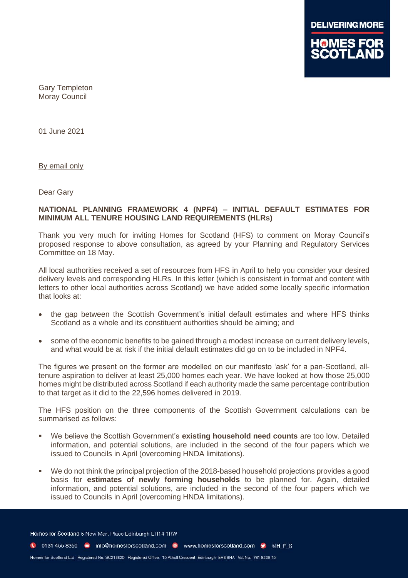

Gary Templeton Moray Council

01 June 2021

By email only

Dear Gary

# **NATIONAL PLANNING FRAMEWORK 4 (NPF4) – INITIAL DEFAULT ESTIMATES FOR MINIMUM ALL TENURE HOUSING LAND REQUIREMENTS (HLRs)**

Thank you very much for inviting Homes for Scotland (HFS) to comment on Moray Council's proposed response to above consultation, as agreed by your Planning and Regulatory Services Committee on 18 May.

All local authorities received a set of resources from HFS in April to help you consider your desired delivery levels and corresponding HLRs. In this letter (which is consistent in format and content with letters to other local authorities across Scotland) we have added some locally specific information that looks at:

- the gap between the Scottish Government's initial default estimates and where HFS thinks Scotland as a whole and its constituent authorities should be aiming; and
- some of the economic benefits to be gained through a modest increase on current delivery levels, and what would be at risk if the initial default estimates did go on to be included in NPF4.

The figures we present on the former are modelled on our manifesto 'ask' for a pan-Scotland, alltenure aspiration to deliver at least 25,000 homes each year. We have looked at how those 25,000 homes might be distributed across Scotland if each authority made the same percentage contribution to that target as it did to the 22,596 homes delivered in 2019.

The HFS position on the three components of the Scottish Government calculations can be summarised as follows:

- We believe the Scottish Government's **existing household need counts** are too low. Detailed information, and potential solutions, are included in the second of the four papers which we issued to Councils in April (overcoming HNDA limitations).
- We do not think the principal projection of the 2018-based household projections provides a good basis for **estimates of newly forming households** to be planned for. Again, detailed information, and potential solutions, are included in the second of the four papers which we issued to Councils in April (overcoming HNDA limitations).

Homes for Scotland 5 New Mart Place Edinburgh EH14 1RW

C 0131 455 8350 m info@homesforscotland.com · www.homesforscotland.com • ©HFS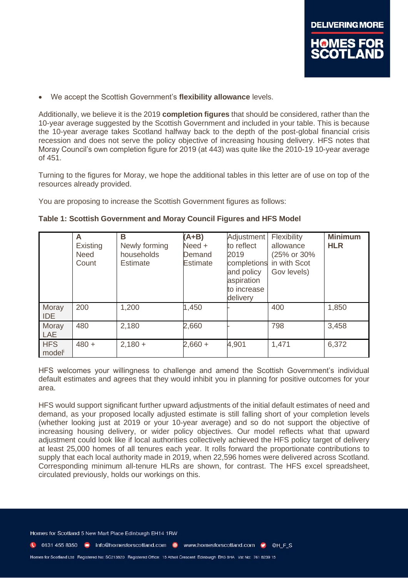

• We accept the Scottish Government's **flexibility allowance** levels.

Additionally, we believe it is the 2019 **completion figures** that should be considered, rather than the 10-year average suggested by the Scottish Government and included in your table. This is because the 10-year average takes Scotland halfway back to the depth of the post-global financial crisis recession and does not serve the policy objective of increasing housing delivery. HFS notes that Moray Council's own completion figure for 2019 (at 443) was quite like the 2010-19 10-year average of 451.

Turning to the figures for Moray, we hope the additional tables in this letter are of use on top of the resources already provided.

You are proposing to increase the Scottish Government figures as follows:

|                     | A<br>Existing<br><b>Need</b><br>Count | B<br>Newly forming<br>households<br><b>Estimate</b> | $(A+B)$<br>Need +<br>Demand<br>Estimate | Adjustment<br>to reflect<br>2019<br>completions<br>and policy<br>aspiration<br>to increase<br>delivery | Flexibility<br>allowance<br>(25% or 30%<br>in with Scot<br>Gov levels) | <b>Minimum</b><br><b>HLR</b> |
|---------------------|---------------------------------------|-----------------------------------------------------|-----------------------------------------|--------------------------------------------------------------------------------------------------------|------------------------------------------------------------------------|------------------------------|
| Moray<br><b>IDE</b> | 200                                   | 1,200                                               | 1,450                                   |                                                                                                        | 400                                                                    | 1,850                        |
| Moray<br><b>LAE</b> | 480                                   | 2,180                                               | 2,660                                   |                                                                                                        | 798                                                                    | 3,458                        |
| <b>HFS</b><br>model | $480 +$                               | $2,180 +$                                           | $2,660 +$                               | 4,901                                                                                                  | 1,471                                                                  | 6,372                        |

| Table 1: Scottish Government and Moray Council Figures and HFS Model |  |  |  |  |  |  |
|----------------------------------------------------------------------|--|--|--|--|--|--|
|----------------------------------------------------------------------|--|--|--|--|--|--|

HFS welcomes your willingness to challenge and amend the Scottish Government's individual default estimates and agrees that they would inhibit you in planning for positive outcomes for your area.

HFS would support significant further upward adjustments of the initial default estimates of need and demand, as your proposed locally adjusted estimate is still falling short of your completion levels (whether looking just at 2019 or your 10-year average) and so do not support the objective of increasing housing delivery, or wider policy objectives. Our model reflects what that upward adjustment could look like if local authorities collectively achieved the HFS policy target of delivery at least 25,000 homes of all tenures each year. It rolls forward the proportionate contributions to supply that each local authority made in 2019, when 22,596 homes were delivered across Scotland. Corresponding minimum all-tenure HLRs are shown, for contrast. The HFS excel spreadsheet, circulated previously, holds our workings on this.

Homes for Scotland 5 New Mart Place Edinburgh EH14 1RW

C 0131 455 8350 C info@homesforscotland.com C www.homesforscotland.com C @H\_F\_S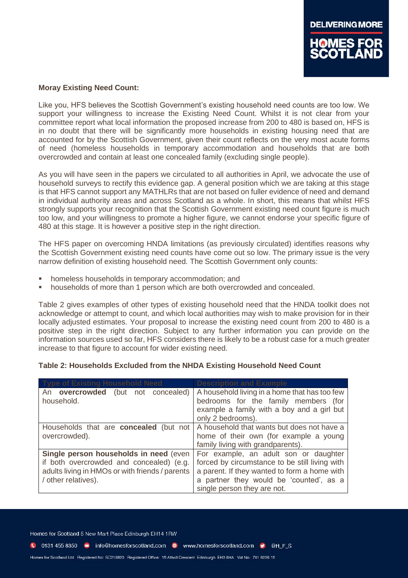

### **Moray Existing Need Count:**

Like you, HFS believes the Scottish Government's existing household need counts are too low. We support your willingness to increase the Existing Need Count. Whilst it is not clear from your committee report what local information the proposed increase from 200 to 480 is based on, HFS is in no doubt that there will be significantly more households in existing housing need that are accounted for by the Scottish Government, given their count reflects on the very most acute forms of need (homeless households in temporary accommodation and households that are both overcrowded and contain at least one concealed family (excluding single people).

As you will have seen in the papers we circulated to all authorities in April, we advocate the use of household surveys to rectify this evidence gap. A general position which we are taking at this stage is that HFS cannot support any MATHLRs that are not based on fuller evidence of need and demand in individual authority areas and across Scotland as a whole. In short, this means that whilst HFS strongly supports your recognition that the Scottish Government existing need count figure is much too low, and your willingness to promote a higher figure, we cannot endorse your specific figure of 480 at this stage. It is however a positive step in the right direction.

The HFS paper on overcoming HNDA limitations (as previously circulated) identifies reasons why the Scottish Government existing need counts have come out so low. The primary issue is the very narrow definition of existing household need. The Scottish Government only counts:

- homeless households in temporary accommodation; and
- households of more than 1 person which are both overcrowded and concealed.

Table 2 gives examples of other types of existing household need that the HNDA toolkit does not acknowledge or attempt to count, and which local authorities may wish to make provision for in their locally adjusted estimates. Your proposal to increase the existing need count from 200 to 480 is a positive step in the right direction. Subject to any further information you can provide on the information sources used so far, HFS considers there is likely to be a robust case for a much greater increase to that figure to account for wider existing need.

### **Table 2: Households Excluded from the NHDA Existing Household Need Count**

| <u>I vne of Existing Household Need</u>                                                                                                                      | <b>Description and Example</b>                                                                                                                                                                                    |
|--------------------------------------------------------------------------------------------------------------------------------------------------------------|-------------------------------------------------------------------------------------------------------------------------------------------------------------------------------------------------------------------|
| An overcrowded<br>(but not concealed)<br>household.                                                                                                          | A household living in a home that has too few<br>bedrooms for the family members (for<br>example a family with a boy and a girl but<br>only 2 bedrooms).                                                          |
| Households that are <b>concealed</b> (but not<br>overcrowded).                                                                                               | A household that wants but does not have a<br>home of their own (for example a young<br>family living with grandparents).                                                                                         |
| Single person households in need (even<br>if both overcrowded and concealed) (e.g.<br>adults living in HMOs or with friends / parents<br>/ other relatives). | For example, an adult son or daughter<br>forced by circumstance to be still living with<br>a parent. If they wanted to form a home with<br>a partner they would be 'counted', as a<br>single person they are not. |

Homes for Scotland 5 New Mart Place Edinburgh EH14 1RW

C 0131 455 8350 m info@homesforscotland.com . www.homesforscotland.com . @ @H F S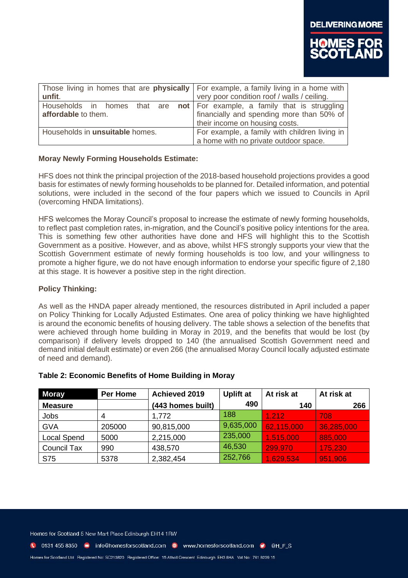

| unfit.                                                                                                    | Those living in homes that are <b>physically</b> For example, a family living in a home with<br>very poor condition roof / walls / ceiling. |  |  |
|-----------------------------------------------------------------------------------------------------------|---------------------------------------------------------------------------------------------------------------------------------------------|--|--|
| Households in homes that are <b>not</b>   For example, a family that is struggling<br>affordable to them. | financially and spending more than 50% of<br>their income on housing costs.                                                                 |  |  |
| Households in <b>unsuitable</b> homes.                                                                    | For example, a family with children living in<br>a home with no private outdoor space.                                                      |  |  |

### **Moray Newly Forming Households Estimate:**

HFS does not think the principal projection of the 2018-based household projections provides a good basis for estimates of newly forming households to be planned for. Detailed information, and potential solutions, were included in the second of the four papers which we issued to Councils in April (overcoming HNDA limitations).

HFS welcomes the Moray Council's proposal to increase the estimate of newly forming households, to reflect past completion rates, in-migration, and the Council's positive policy intentions for the area. This is something few other authorities have done and HFS will highlight this to the Scottish Government as a positive. However, and as above, whilst HFS strongly supports your view that the Scottish Government estimate of newly forming households is too low, and your willingness to promote a higher figure, we do not have enough information to endorse your specific figure of 2,180 at this stage. It is however a positive step in the right direction.

### **Policy Thinking:**

As well as the HNDA paper already mentioned, the resources distributed in April included a paper on Policy Thinking for Locally Adjusted Estimates. One area of policy thinking we have highlighted is around the economic benefits of housing delivery. The table shows a selection of the benefits that were achieved through home building in Moray in 2019, and the benefits that would be lost (by comparison) if delivery levels dropped to 140 (the annualised Scottish Government need and demand initial default estimate) or even 266 (the annualised Moray Council locally adjusted estimate of need and demand).

| <b>Moray</b>       | Per Home | Achieved 2019     | <b>Uplift at</b> | At risk at | At risk at |
|--------------------|----------|-------------------|------------------|------------|------------|
| <b>Measure</b>     |          | (443 homes built) | 490              | 140        | 266        |
| Jobs               | 4        | 1,772             | 188              | 1,212      | 708        |
| <b>GVA</b>         | 205000   | 90,815,000        | 9,635,000        | 62,115,000 | 36,285,000 |
| <b>Local Spend</b> | 5000     | 2,215,000         | 235,000          | 1,515,000  | 885,000    |
| Council Tax        | 990      | 438,570           | 46,530           | 299,970    | 175,230    |
| S75                | 5378     | 2,382,454         | 252,766          | 1,629,534  | 951,906    |

### **Table 2: Economic Benefits of Home Building in Moray**

Homes for Scotland 5 New Mart Place Edinburgh EH14 1RW

1 0131 455 8350 minfo@homesforscotland.com · www.homesforscotland.com • ©HFS

Homes for Scotland Ltd Registered No: SC213820 Registered Office: 15 Atholl Crescent Edinburgh EH3 8HA Vat No: 761 8239 15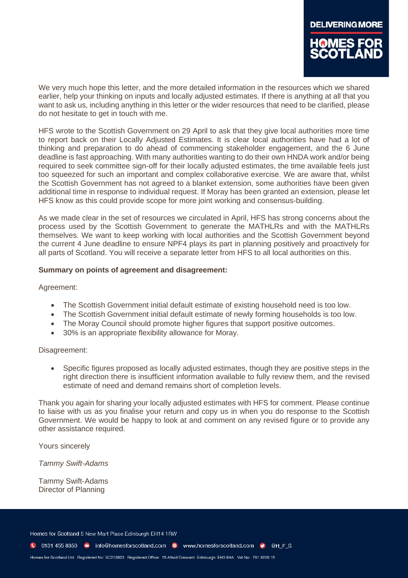We very much hope this letter, and the more detailed information in the resources which we shared earlier, help your thinking on inputs and locally adjusted estimates. If there is anything at all that you want to ask us, including anything in this letter or the wider resources that need to be clarified, please do not hesitate to get in touch with me.

HFS wrote to the Scottish Government on 29 April to ask that they give local authorities more time to report back on their Locally Adjusted Estimates. It is clear local authorities have had a lot of thinking and preparation to do ahead of commencing stakeholder engagement, and the 6 June deadline is fast approaching. With many authorities wanting to do their own HNDA work and/or being required to seek committee sign-off for their locally adjusted estimates, the time available feels just too squeezed for such an important and complex collaborative exercise. We are aware that, whilst the Scottish Government has not agreed to a blanket extension, some authorities have been given additional time in response to individual request. If Moray has been granted an extension, please let HFS know as this could provide scope for more joint working and consensus-building.

As we made clear in the set of resources we circulated in April, HFS has strong concerns about the process used by the Scottish Government to generate the MATHLRs and with the MATHLRs themselves. We want to keep working with local authorities and the Scottish Government beyond the current 4 June deadline to ensure NPF4 plays its part in planning positively and proactively for all parts of Scotland. You will receive a separate letter from HFS to all local authorities on this.

## **Summary on points of agreement and disagreement:**

### Agreement:

- The Scottish Government initial default estimate of existing household need is too low.
- The Scottish Government initial default estimate of newly forming households is too low.
- The Moray Council should promote higher figures that support positive outcomes.
- 30% is an appropriate flexibility allowance for Moray.

### Disagreement:

• Specific figures proposed as locally adjusted estimates, though they are positive steps in the right direction there is insufficient information available to fully review them, and the revised estimate of need and demand remains short of completion levels.

Thank you again for sharing your locally adjusted estimates with HFS for comment. Please continue to liaise with us as you finalise your return and copy us in when you do response to the Scottish Government. We would be happy to look at and comment on any revised figure or to provide any other assistance required.

Yours sincerely

*Tammy Swift-Adams*

Tammy Swift-Adams Director of Planning

Homes for Scotland 5 New Mart Place Edinburgh EH14 1RW

C 0131 455 8350 m info@homesforscotland.com . www.homesforscotland.com . @ @H F S

Homes for Scotland Ltd Registered No: SC213820 Registered Office: 15 Atholl Crescent Edinburgh EH3 8HA Vat No: 761 8239 15